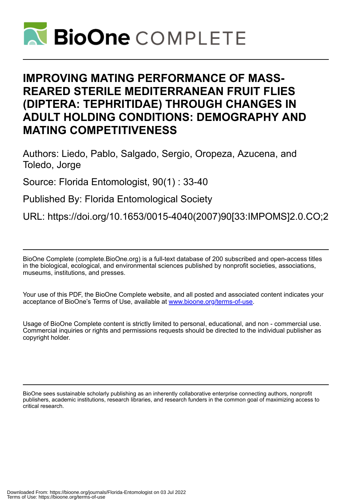

# **IMPROVING MATING PERFORMANCE OF MASS-REARED STERILE MEDITERRANEAN FRUIT FLIES (DIPTERA: TEPHRITIDAE) THROUGH CHANGES IN ADULT HOLDING CONDITIONS: DEMOGRAPHY AND MATING COMPETITIVENESS**

Authors: Liedo, Pablo, Salgado, Sergio, Oropeza, Azucena, and Toledo, Jorge

Source: Florida Entomologist, 90(1) : 33-40

Published By: Florida Entomological Society

URL: https://doi.org/10.1653/0015-4040(2007)90[33:IMPOMS]2.0.CO;2

BioOne Complete (complete.BioOne.org) is a full-text database of 200 subscribed and open-access titles in the biological, ecological, and environmental sciences published by nonprofit societies, associations, museums, institutions, and presses.

Your use of this PDF, the BioOne Complete website, and all posted and associated content indicates your acceptance of BioOne's Terms of Use, available at www.bioone.org/terms-of-use.

Usage of BioOne Complete content is strictly limited to personal, educational, and non - commercial use. Commercial inquiries or rights and permissions requests should be directed to the individual publisher as copyright holder.

BioOne sees sustainable scholarly publishing as an inherently collaborative enterprise connecting authors, nonprofit publishers, academic institutions, research libraries, and research funders in the common goal of maximizing access to critical research.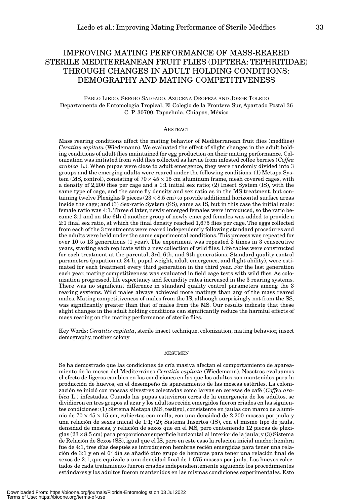# IMPROVING MATING PERFORMANCE OF MASS-REARED STERILE MEDITERRANEAN FRUIT FLIES (DIPTERA: TEPHRITIDAE) THROUGH CHANGES IN ADULT HOLDING CONDITIONS: DEMOGRAPHY AND MATING COMPETITIVENESS

# PABLO LIEDO, SERGIO SALGADO, AZUCENA OROPEZA AND JORGE TOLEDO Departamento de Entomología Tropical, El Colegio de la Frontera Sur, Apartado Postal 36 C. P. 30700, Tapachula, Chiapas, México

#### ABSTRACT

Mass rearing conditions affect the mating behavior of Mediterranean fruit flies (medflies) *Ceratitis capitata* (Wiedemann). We evaluated the effect of slight changes in the adult holding conditions of adult flies maintained for egg production on their mating performance. Colonization was initiated from wild flies collected as larvae from infested coffee berries (*Coffea arabica* L.). When pupae were close to adult emergence, they were randomly divided into 3 groups and the emerging adults were reared under the following conditions: (1) Metapa System (MS, control), consisting of  $70 \times 45 \times 15$  cm aluminum frame, mesh covered cages, with a density of 2,200 flies per cage and a 1:1 initial sex ratio; (2) Insert System (IS), with the same type of cage, and the same fly density and sex ratio as in the MS treatment, but containing twelve Plexiglas® pieces  $(23 \times 8.5 \text{ cm})$  to provide additional horizontal surface areas inside the cage; and (3) Sex-ratio System (SS), same as IS, but in this case the initial male: female ratio was 4:1. Three d later, newly emerged females were introduced, so the ratio became 3:1 and on the 6th d another group of newly emerged females was added to provide a 2:1 final sex ratio, at which the final density reached 1,675 flies per cage. The eggs collected from each of the 3 treatments were reared independently following standard procedures and the adults were held under the same experimental conditions. This process was repeated for over 10 to 13 generations (1 year). The experiment was repeated 3 times in 3 consecutive years, starting each replicate with a new collection of wild flies. Life tables were constructed for each treatment at the parental, 3rd, 6th, and 9th generations. Standard quality control parameters (pupation at 24 h, pupal weight, adult emergence, and flight ability), were estimated for each treatment every third generation in the third year. For the last generation each year, mating competitiveness was evaluated in field cage tests with wild flies. As colonization progressed, life expectancy and fecundity rates increased in the 3 rearing systems. There was no significant difference in standard quality control parameters among the 3 rearing systems. Wild males always achieved more matings than any of the mass reared males. Mating competitiveness of males from the IS, although surprisingly not from the SS, was significantly greater than that of males from the MS. Our results indicate that these slight changes in the adult holding conditions can significantly reduce the harmful effects of mass rearing on the mating performance of sterile flies.

Key Words: *Ceratitis capitata*, sterile insect technique, colonization, mating behavior, insect demography, mother colony

#### **RESUMEN**

Se ha demostrado que las condiciones de cría masiva afectan el comportamiento de apareamiento de la mosca del Mediterráneo *Ceratitis capitata* (Wiedemann). Nosotros evaluamos el efecto de ligeros cambios en las condiciones en las que los adultos son mantenidos para la producción de huevos, en el desempeño de apareamiento de las moscas estériles. La colonización se inició con moscas silvestres colectadas como larvas en cerezas de café (*Coffea arabica* L.) infestadas. Cuando las pupas estuvieron cerca de la emergencia de los adultos, se dividieron en tres grupos al azar y los adultos recién emergidos fueron criados en las siguientes condiciones: (1) Sistema Metapa (MS, testigo), consistente en jaulas con marco de aluminio de  $70 \times 45 \times 15$  cm, cubiertas con malla, con una densidad de 2,200 moscas por jaula y una relación de sexos inicial de 1:1; (2); Sistema Insertos (IS), con el mismo tipo de jaula, densidad de moscas, y relación de sexos que en el MS, pero conteniendo 12 piezas de plexiglas  $(23 \times 8.5 \text{ cm})$  para proporcionar superficie horizontal al interior de la jaula; y (3) Sistema de Relación de Sexos (SS), igual que el IS, pero en este caso la relación inicial macho: hembra fue de 4:1, tres días después se introdujeron hembras recién emergidas para tener una relación de 3:1 y en el 6° día se añadió otro grupo de hembras para tener una relación final de sexos de 2:1, que equivale a una densidad final de 1,675 moscas por jaula. Los huevos colectados de cada tratamiento fueron criados independientemente siguiendo los procedimientos estándares y los adultos fueron mantenidos en las mismas condiciones experimentales. Esto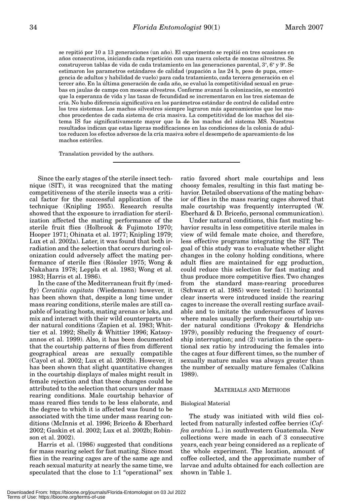se repitió por 10 a 13 generaciones (un año). El experimento se repitió en tres ocasiones en años consecutivos, iniciando cada repetición con una nueva colecta de moscas silvestres. Se construyeron tablas de vida de cada tratamiento en las generaciones parental, 3ª, 6ª y 9ª. Se estimaron los parametros estándares de calidad (pupación a las 24 h, peso de pupa, emergencia de adultos y habilidad de vuelo) para cada tratamiento, cada tercera generación en el tercer año. En la última generación de cada año, se evaluó la competitividad sexual en pruebas en jaulas de campo con moscas silvestres. Conforme avanzó la colonización, se encontró que la esperanza de vida y las tasas de fecundidad se incrementaron en los tres sistemas de cría. No hubo diferencia significativa en los parámetros estándar de control de calidad entre los tres sistemas. Los machos silvestres siempre lograron más apareamientos que los machos procedentes de cada sistema de cría masiva. La competitividad de los machos del sistema IS fue significativamente mayor que la de los machos del sistema MS. Nuestros resultados indican que estas ligeras modificaciones en las condiciones de la colonia de adultos reducen los efectos adversos de la cría masiva sobre el desempeño de apareamiento de los machos estériles.

Translation provided by the authors.

Since the early stages of the sterile insect technique (SIT), it was recognized that the mating competitiveness of the sterile insects was a critical factor for the successful application of the technique (Knipling 1955). Research results showed that the exposure to irradiation for sterilization affected the mating performance of the sterile fruit flies (Holbrook & Fujimoto 1970; Hooper 1971; Ohinata et al. 1977; Knipling 1979; Lux et al. 2002a). Later, it was found that both irradiation and the selection that occurs during colonization could adversely affect the mating performance of sterile flies (Rössler 1975; Wong & Nakahara 1978; Leppla et al. 1983; Wong et al. 1983; Harris et al. 1986).

In the case of the Mediterranean fruit fly (medfly) *Ceratitis capitata* (Wiedemann) however, it has been shown that, despite a long time under mass rearing conditions, sterile males are still capable of locating hosts, mating arenas or leks, and mix and interact with their wild counterparts under natural conditions (Zapien et al. 1983; Whittier et al. 1992; Shelly & Whittier 1996; Katsoyannos et al. 1999). Also, it has been documented that the courtship patterns of flies from different geographical areas are sexually compatible (Cayol et al. 2002; Lux et al. 2002b). However, it has been shown that slight quantitative changes in the courtship displays of males might result in female rejection and that these changes could be attributed to the selection that occurs under mass rearing conditions. Male courtship behavior of mass reared flies tends to be less elaborate, and the degree to which it is affected was found to be associated with the time under mass rearing conditions (McInnis et al. 1996; Briceño & Eberhard 2002; Gaskin et al. 2002; Lux et al. 2002b; Robinson et al. 2002).

Harris et al. (1986) suggested that conditions for mass rearing select for fast mating. Since most flies in the rearing cages are of the same age and reach sexual maturity at nearly the same time, we speculated that the close to 1:1 "operational" sex ratio favored short male courtships and less choosy females, resulting in this fast mating behavior. Detailed observations of the mating behavior of flies in the mass rearing cages showed that male courtship was frequently interrupted (W. Eberhard & D. Briceño, personal communication).

Under natural conditions, this fast mating behavior results in less competitive sterile males in view of wild female mate choice, and therefore, less effective programs integrating the SIT. The goal of this study was to evaluate whether slight changes in the colony holding conditions, where adult flies are maintained for egg production, could reduce this selection for fast mating and thus produce more competitive flies. Two changes from the standard mass-rearing procedures (Schwarz et al. 1985) were tested: (1) horizontal clear inserts were introduced inside the rearing cages to increase the overall resting surface available and to imitate the undersurfaces of leaves where males usually perform their courtship under natural conditions (Prokopy & Hendrichs 1979), possibly reducing the frequency of courtship interruption; and (2) variation in the operational sex ratio by introducing the females into the cages at four different times, so the number of sexually mature males was always greater than the number of sexually mature females (Calkins 1989).

#### MATERIALS AND METHODS

#### Biological Material

The study was initiated with wild flies collected from naturally infested coffee berries (*Coffea arabica* L.) in southwestern Guatemala. New collections were made in each of 3 consecutive years, each year being considered as a replicate of the whole experiment. The location, amount of coffee collected, and the approximate number of larvae and adults obtained for each collection are shown in Table 1.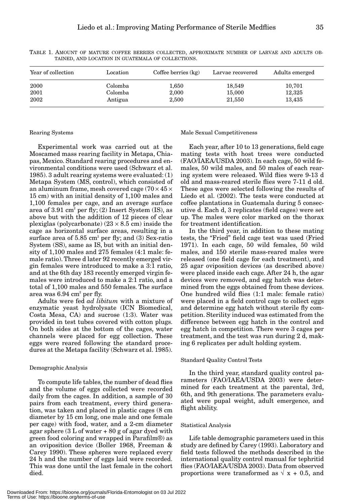| Year of collection | Location | Coffee berries $(kg)$ | Larvae recovered | Adults emerged |  |
|--------------------|----------|-----------------------|------------------|----------------|--|
| 2000               | Colomba  | 1,650                 | 18.549           | 10,701         |  |
| 2001               | Colomba  | 2,000                 | 15,000           | 12,325         |  |
| 2002               | Antigua  | 2,500                 | 21,550           | 13,435         |  |
|                    |          |                       |                  |                |  |

TABLE 1. AMOUNT OF MATURE COFFEE BERRIES COLLECTED, APPROXIMATE NUMBER OF LARVAE AND ADULTS OB-TAINED, AND LOCATION IN GUATEMALA OF COLLECTIONS.

## Rearing Systems

Experimental work was carried out at the Moscamed mass rearing facility in Metapa, Chiapas, Mexico. Standard rearing procedures and environmental conditions were used (Schwarz et al. 1985). 3 adult rearing systems were evaluated: (1) Metapa System (MS, control), which consisted of an aluminum frame, mesh covered cage (70  $\times$  45  $\times$ 15 cm) with an initial density of 1,100 males and 1,100 females per cage, and an average surface area of  $3.91 \text{ cm}^2$  per fly; (2) Insert System (IS), as above but with the addition of 12 pieces of clear plexiglas (polycarbonate)  $(23 \times 8.5 \text{ cm})$  inside the cage as horizontal surface areas, resulting in a surface area of  $5.85 \text{ cm}^2$  per fly; and  $(3)$  Sex-ratio System (SS), same as IS, but with an initial density of 1,100 males and 275 females (4:1 male: female ratio). Three d later 92 recently emerged virgin females were introduced to make a 3:1 ratio, and at the 6th day 183 recently emerged virgin females were introduced to make a 2:1 ratio, and a total of 1,100 males and 550 females. The surface area was  $6.94 \text{ cm}^2 \text{ per fly}.$ 

Adults were fed *ad libitum* with a mixture of enzymatic yeast hydrolysate (ICN Biomedical, Costa Mesa, CA) and sucrose (1:3). Water was provided in test tubes covered with cotton plugs. On both sides at the bottom of the cages, water channels were placed for egg collection. These eggs were reared following the standard procedures at the Metapa facility (Schwarz et al. 1985).

#### Demographic Analysis

To compute life tables, the number of dead flies and the volume of eggs collected were recorded daily from the cages. In addition, a sample of 30 pairs from each treatment, every third generation, was taken and placed in plastic cages (8 cm diameter by 15 cm long, one male and one female per cage) with food, water, and a 2-cm diameter agar sphere  $(3 L of water + 80 g of agar dyed with$ green food coloring and wrapped in Parafilm®) as an oviposition device (Boller 1968, Freeman & Carey 1990). These spheres were replaced every 24 h and the number of eggs laid were recorded. This was done until the last female in the cohort died.

#### Male Sexual Competitiveness

Each year, after 10 to 13 generations, field cage mating tests with host trees were conducted (FAO/IAEA/USDA 2003). In each cage, 50 wild females, 50 wild males, and 50 males of each rearing system were released. Wild flies were 9-13 d old and mass-reared sterile flies were 7-11 d old. These ages were selected following the results of Liedo et al. (2002). The tests were conducted at coffee plantations in Guatemala during 5 consecutive d. Each d, 3 replicates (field cages) were set up. The males were color marked on the thorax for treatment identification.

In the third year, in addition to these mating tests, the "Fried" field cage test was used (Fried 1971). In each cage, 50 wild females, 50 wild males, and 150 sterile mass-reared males were released (one field cage for each treatment), and 25 agar oviposition devices (as described above) were placed inside each cage. After 24 h, the agar devices were removed, and egg hatch was determined from the eggs obtained from these devices. One hundred wild flies (1:1 male: female ratio) were placed in a field control cage to collect eggs and determine egg hatch without sterile fly competition. Sterility induced was estimated from the difference between egg hatch in the control and egg hatch in competition. There were 3 cages per treatment, and the test was run during 2 d, making 6 replicates per adult holding system.

#### Standard Quality Control Tests

In the third year, standard quality control parameters (FAO/IAEA/USDA 2003) were determined for each treatment at the parental, 3rd, 6th, and 9th generations. The parameters evaluated were pupal weight, adult emergence, and flight ability.

## Statistical Analysis

Life table demographic parameters used in this study are defined by Carey (1993). Laboratory and field tests followed the methods described in the international quality control manual for tephritid flies (FAO/IAEA/USDA 2003). Data from observed proportions were transformed as  $\sqrt{x} + 0.5$ , and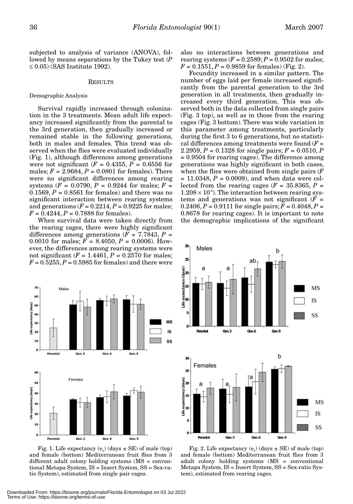subjected to analysis of variance (ANOVA), followed by means separations by the Tukey test (*P*  $\leq$  0.05) (SAS Institute 1992).

#### RESULTS

# Demographic Analysis

Survival rapidly increased through colonization in the 3 treatments. Mean adult life expectancy increased significantly from the parental to the 3rd generation, then gradually increased or remained stable in the following generations, both in males and females. This trend was observed when the flies were evaluated individually (Fig. 1), although differences among generations were not significant  $(F = 0.4355, P = 0.6556$  for males;  $F = 2.9684, P = 0.0801$  for females). There were no significant differences among rearing systems ( $F = 0.0790$ ,  $P = 0.9244$  for males;  $F =$  $0.1569, P = 0.8561$  for females) and there was no significant interaction between rearing systems and generations  $(F = 0.2214, P = 0.9225$  for males;  $F = 0.4244$ ,  $P = 0.7888$  for females).

When survival data were taken directly from the rearing cages, there were highly significant differences among generations  $(F = 7.7843, P =$ 0.0010 for males;  $F = 8.4050$ ,  $P = 0.0006$ ). However, the differences among rearing systems were not significant (*F* = 1.4461, *P* = 0.2570 for males;  $F = 0.5255$ ,  $P = 0.5985$  for females) and there were



Fig. 1. Life expectancy  $(e_0)$  (days  $\pm$  SE) of male (top) and female (bottom) Mediterranean fruit flies from 3 different adult colony holding systems (MS = conventional Metapa System, IS = Insert System, SS = Sex-ratio System), estimated from single pair cages.

also no interactions between generations and rearing systems  $(F = 0.2589; P = 0.9502$  for males;  $F = 0.1551, P = 0.9859$  for females) (Fig. 2).

Fecundity increased in a similar pattern. The number of eggs laid per female increased significantly from the parental generation to the 3rd generation in all treatments, then gradually increased every third generation. This was observed both in the data collected from single pairs (Fig. 3 top), as well as in those from the rearing cages (Fig. 3 bottom). There was wide variation in this parameter among treatments, particularly during the first 3 to 6 generations, but no statistical differences among treatments were found  $(F =$ 2.2959, *P* = 0.1328 for single pairs; *F* = 0.0510, *P* = 0.9504 for rearing cages). The difference among generations was highly significant in both cases, when the flies were obtained from single pairs (*F*  $= 11.0348, P = 0.0009$ , and when data were collected from the rearing cages ( $F = 35.8365$ ,  $P =$  $1.208 \times 10^{-8}$ ). The interaction between rearing systems and generations was not significant  $(F =$ 0.2406,  $P = 0.9111$  for single pairs;  $F = 0.4048$ ,  $P =$ 0.8678 for rearing cages). It is important to note the demographic implications of the significant



Fig. 2. Life expectancy  $(e_0)$  (days  $\pm$  SE) of male (top) and female (bottom) Mediterranean fruit flies from 3 adult colony holding systems (MS = conventional Metapa System, IS = Insert System, SS = Sex-ratio System), estimated from rearing cages.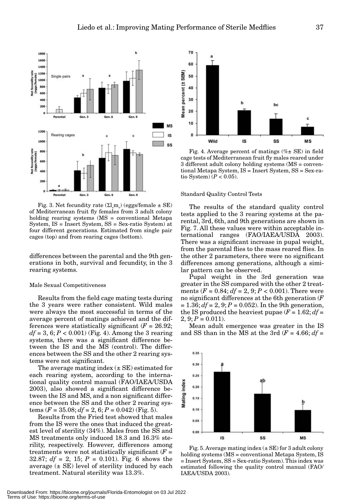

Fig. 3. Net fecundity rate  $(\Sigma \downarrow m)$  (eggs/female  $\pm$  SE) of Mediterranean fruit fly females from 3 adult colony holding rearing systems (MS = conventional Metapa System, IS = Insert System, SS = Sex-ratio System) at four different generations. Estimated from single pair cages (top) and from rearing cages (bottom).

differences between the parental and the 9th generations in both, survival and fecundity, in the 3 rearing systems.

#### Male Sexual Competitiveness

Results from the field cage mating tests during the 3 years were rather consistent. Wild males were always the most successful in terms of the average percent of matings achieved and the differences were statistically significant  $(F = 26.92;$  $df = 3, 6; P < 0.001$  (Fig. 4). Among the 3 rearing systems, there was a significant difference between the IS and the MS (control). The differences between the SS and the other 2 rearing systems were not significant.

The average mating index  $(\pm \text{ SE})$  estimated for each rearing system, according to the international quality control manual (FAO/IAEA/USDA 2003), also showed a significant difference between the IS and MS, and a non significant difference between the SS and the other 2 rearing systems  $(F = 35.08; df = 2, 6; P = 0.042)$  (Fig. 5).

Results from the Fried test showed that males from the IS were the ones that induced the greatest level of sterility (34%). Males from the SS and MS treatments only induced 18.3 and 16.3% sterility, respectively. However, differences among treatments were not statistically significant  $(F =$ 32.87;  $df = 2$ , 15;  $P = 0.101$ ). Fig. 6 shows the average  $(\pm \text{ SE})$  level of sterility induced by each treatment. Natural sterility was 13.3%.



Fig. 4. Average percent of matings  $(\% \pm \text{SE})$  in field cage tests of Mediterranean fruit fly males reared under 3 different adult colony holding systems (MS = conventional Metapa System, IS = Insert System, SS = Sex-ratio System)  $(P < 0.05)$ .

#### Standard Quality Control Tests

The results of the standard quality control tests applied to the 3 rearing systems at the parental, 3rd, 6th, and 9th generations are shown in Fig. 7. All these values were within acceptable international ranges (FAO/IAEA/USDA 2003). There was a significant increase in pupal weight, from the parental flies to the mass reared flies. In the other 2 parameters, there were no significant differences among generations, although a similar pattern can be observed.

Pupal weight in the 3rd generation was greater in the SS compared with the other 2 treatments  $(F = 0.84; df = 2, 9; P < 0.001)$ . There were no significant differences at the 6th generation (*F*  $= 1.36; df = 2, 9; P = 0.052$ . In the 9th generation, the IS produced the heaviest pupae  $(F = 1.62; df =$  $2, 9: P = 0.011$ .

Mean adult emergence was greater in the IS and SS than in the MS at the 3rd  $(F = 4.66; df =$ 



Fig. 5. Average mating index  $(\pm \text{SE})$  for 3 adult colony holding systems (MS = conventional Metapa System, IS = Insert System, SS = Sex-ratio System). This index was estimated following the quality control manual (FAO/ IAEA/USDA 2003).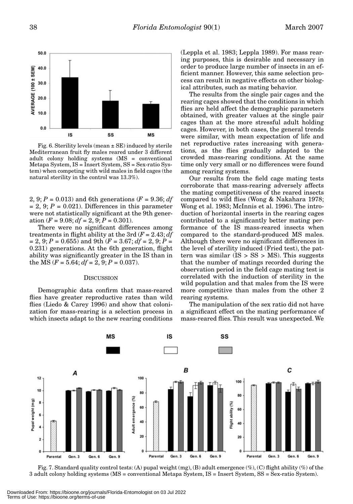

Fig. 6. Sterility levels (mean  $\pm$  SE) induced by sterile Mediterranean fruit fly males reared under 3 different adult colony holding systems (MS = conventional Metapa System, IS = Insert System, SS = Sex-ratio System) when competing with wild males in field cages (the natural sterility in the control was 13.3%).

2, 9;  $P = 0.013$ ) and 6th generations ( $F = 9.36$ ; *df*  $= 2, 9; P = 0.021$ . Differences in this parameter were not statistically significant at the 9th generation  $(F = 9.08; df = 2, 9; P = 0.301)$ .

There were no significant differences among treatments in flight ability at the 3rd (*F* = 2.43; *df*  $= 2, 9; P = 0.655$ ) and 9th ( $F = 3.67; df = 2, 9; P = 1$ 0.231) generations. At the 6th generation, flight ability was significantly greater in the IS than in the MS ( $F = 5.64$ ;  $df = 2$ , 9;  $P = 0.037$ ).

#### **DISCUSSION**

Demographic data confirm that mass-reared flies have greater reproductive rates than wild flies (Liedo & Carey 1996) and show that colonization for mass-rearing is a selection process in which insects adapt to the new rearing conditions

(Leppla et al. 1983; Leppla 1989). For mass rearing purposes, this is desirable and necessary in order to produce large number of insects in an efficient manner. However, this same selection process can result in negative effects on other biological attributes, such as mating behavior.

The results from the single pair cages and the rearing cages showed that the conditions in which flies are held affect the demographic parameters obtained, with greater values at the single pair cages than at the more stressful adult holding cages. However, in both cases, the general trends were similar, with mean expectation of life and net reproductive rates increasing with generations, as the flies gradually adapted to the crowded mass-rearing conditions. At the same time only very small or no differences were found among rearing systems.

Our results from the field cage mating tests corroborate that mass-rearing adversely affects the mating competitiveness of the reared insects compared to wild flies (Wong & Nakahara 1978; Wong et al. 1983; McInnis et al. 1996). The introduction of horizontal inserts in the rearing cages contributed to a significantly better mating performance of the IS mass-reared insects when compared to the standard-produced MS males. Although there were no significant differences in the level of sterility induced (Fried test), the pattern was similar  $(IS > SS > MS)$ . This suggests that the number of matings recorded during the observation period in the field cage mating test is correlated with the induction of sterility in the wild population and that males from the IS were more competitive than males from the other 2 rearing systems.

The manipulation of the sex ratio did not have a significant effect on the mating performance of mass-reared flies. This result was unexpected. We



Fig. 7. Standard quality control tests: (A) pupal weight (mg), (B) adult emergence  $(\%)$ , (C) flight ability  $(\%)$  of the 3 adult colony holding systems (MS = conventional Metapa System, IS = Insert System, SS = Sex-ratio System).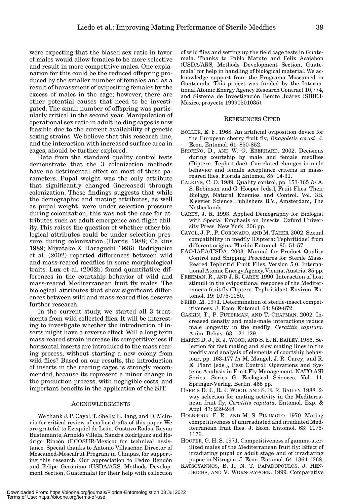were expecting that the biased sex ratio in favor of males would allow females to be more selective and result in more competitive males. One explanation for this could be the reduced offspring produced by the smaller number of females and as a result of harassment of ovipositing females by the excess of males in the cage; however, there are other potential causes that need to be investigated. The small number of offspring was particularly critical in the second year. Manipulation of operational sex ratio in adult holding cages is now feasible due to the current availability of genetic sexing strains. We believe that this research line, and the interaction with increased surface area in cages, should be further explored.

Data from the standard quality control tests demonstrate that the 3 colonization methods have no detrimental effect on most of these parameters. Pupal weight was the only attribute that significantly changed (increased) through colonization. These findings suggests that while the demographic and mating attributes, as well as pupal weight, were under selection pressure during colonization, this was not the case for attributes such as adult emergence and flight ability. This raises the question of whether other biological attributes could be under selection pressure during colonization (Harris 1988; Calkins 1989; Miyatake & Haraguchi 1996). Rodrigueiro et al. (2002) reported differences between wild and mass-reared medflies in some morphological traits. Lux et al. (2002b) found quantitative differences in the courtship behavior of wild and mass-reared Mediterranean fruit fly males. The biological attributes that show significant differences between wild and mass-reared flies deserve further research.

In the current study, we started all 3 treatments from wild collected flies. It will be interesting to investigate whether the introduction of inserts might have a reverse effect. Will a long term mass-reared strain increase its competitiveness if horizontal inserts are introduced to the mass rearing process, without starting a new colony from wild flies? Based on our results, the introduction of inserts in the rearing cages is strongly recommended, because its represent a minor change in the production process, with negligible costs, and important benefits in the application of the SIT.

#### ACKNOWLEDGMENTS

We thank J. P. Cayol, T. Shelly, E. Jang, and D. McInnis for critical review of earlier drafts of this paper. We are grateful to Ezequiel de León, Gustavo Rodas, Reyna Bustamante, Arnoldo Villela, Sandra Rodríguez and Rodrigo Rincón (ECOSUR-Mexico) for technical assistance. Special thanks to Antonio Villaseñor, Director of Moscamed-Moscafrut Program in Chiapas, for supporting this research. Our appreciation to Pedro Rendón and Felipe Gerónimo (USDA/ARS, Methods Development Section, Guatemala) for their help with collection of wild flies and setting up the field cage tests in Guatemala. Thanks to Pablo Matute and Felix Acajabón (USDA/ARS, Methods Development Section, Guatemala) for help in handling of biological material. We acknowledge support from the Programa Moscamed in Guatemala. This project was funded by the International Atomic Energy Agency Research Contract 10,774, and Sistema de Investigación Benito Juárez (SIBEJ-Mexico, proyecto 19990501035).

#### REFERENCES CITED

- BOLLER, E. F. 1968. An artificial oviposition device for the European cherry fruit fly, *Rhagoletis cerasi*. J. Econ. Entomol. 61: 850-852.
- BRICEÑO, D., AND W. G. EBERHARD. 2002. Decisions during courtship by male and female medflies (Diptera: Tephritidae): Correlated changes in male behavior and female acceptance criteria in massreared flies. Florida Entomol. 85: 14-31.
- CALKINS, C. O. 1989. Quality control, pp. 153-165 *In* A. S. Robinson and G. Hooper [eds.], Fruit Flies: Their Biology, Natural Enemies and Control. Vol. 3B. Elsevier Science Publishers B.V., Amsterdam, The Netherlands.
- CAREY, J. R. 1993. Applied Demography for Biologist with Special Emphasis on Insects. Oxford University Press. New York. 206 pp.
- CAYOL, J. P., P. CORONADO, AND M. TAHER. 2002. Sexual compatibility in medfly (Diptera: Tephritidae) from different origins. Florida Entomol. 85: 51-57.
- FAO/IAEA/USDA. 2003. Manual for Product Quality Control and Shipping Procedures for Sterile Mass-Reared Tephritid Fruit Flies, Version 5.0. International Atomic Energy Agency, Vienna, Austria. 85 pp.
- FREEMAN, R., AND J. R. CAREY. 1990. Interaction of host stimuli in the ovipositional response of the Mediterranean fruit fly (Diptera: Tephritidae). Environ. Entomol. 19: 1075-1080.
- FRIED, M. 1971. Determination of sterile-insect competitiveness. J. Econ. Entomol. 64: 869-872.
- GASKIN, T., P. FUTERMAN, AND T. CHAPMAN. 2002. Increased density and male-male interactions reduce male longevity in the medfly, *Ceratitis capitata*. Anim. Behav. 63: 121-129.
- HARRIS D. J., R. J. WOOD, AND S. E. R. BAILEY. 1986. Selection for fast mating and slow mating lines in the medfly and analysis of elements of courtship behaviour, pp. 163-177 *In* M. Mangel, J. R. Carey, and R. E. Plant [eds.], Pest Control: Operations and Systems Analysis in Fruit Fly Management. NATO ASI Series. Series G: Ecological Sciences, Vol. 11. Springer-Verlag. Berlin. 465 pp.
- HARRIS D. J., R. J. WOOD, AND S. E. R. BAILEY. 1988. 2 way selection for mating activity in the Mediterranean fruit fly, *Ceratitis capitata*. Entomol. Exp. & Appl. 47: 239-248.
- HOLBROOK, F. R., AND M. S. FUJIMOTO. 1970. Mating competitiveness of unirradiated and irradiated Mediterranean fruit flies. J. Econ. Entomol. 63: 1175- 1176.
- HOOPER, G. H. S. 1971. Competitiveness of gamma-sterilized males of the Mediterranean fruit fly: Effect of irradiating pupal or adult stage and of irradiating pupae in Nitrogen. J. Econ. Entomol. 64: 1364-1368.
- KATSOYANNOS, B. I., N. T. PAPADOPOULOS, J. HEN-DRICHS, AND V. WORNOAYPORN. 1999. Comparative